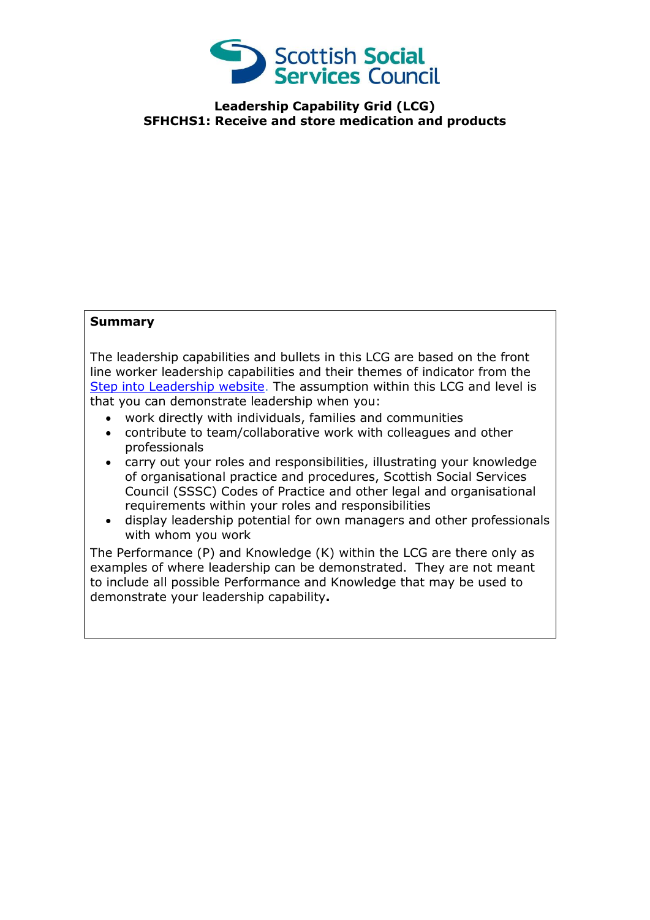

**Leadership Capability Grid (LCG) SFHCHS1: Receive and store medication and products**

## **Summary**

The leadership capabilities and bullets in this LCG are based on the front line worker leadership capabilities and their themes of indicator from the [Step into Leadership website.](http://www.stepintoleadership.info/) The assumption within this LCG and level is that you can demonstrate leadership when you:

- work directly with individuals, families and communities
- contribute to team/collaborative work with colleagues and other professionals
- carry out your roles and responsibilities, illustrating your knowledge of organisational practice and procedures, Scottish Social Services Council (SSSC) Codes of Practice and other legal and organisational requirements within your roles and responsibilities
- display leadership potential for own managers and other professionals with whom you work

The Performance (P) and Knowledge (K) within the LCG are there only as examples of where leadership can be demonstrated. They are not meant to include all possible Performance and Knowledge that may be used to demonstrate your leadership capability**.**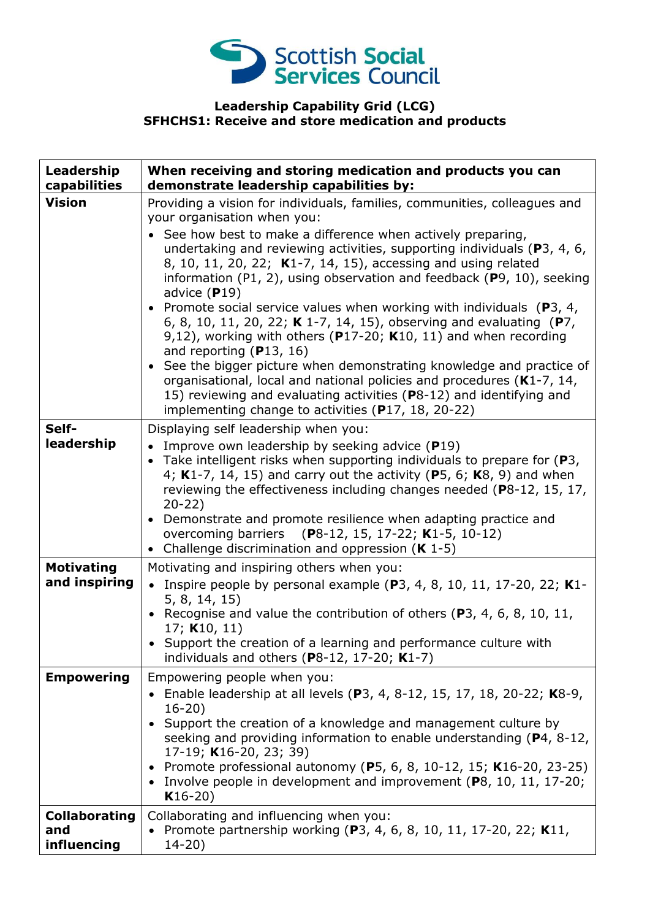

## **Leadership Capability Grid (LCG) SFHCHS1: Receive and store medication and products**

| Leadership<br>capabilities                 | When receiving and storing medication and products you can<br>demonstrate leadership capabilities by:                                                                                                                                                                                                                                                                                                                                                                                                                                                                                                                                                                                                                                                                                                                                                                                                                                                   |
|--------------------------------------------|---------------------------------------------------------------------------------------------------------------------------------------------------------------------------------------------------------------------------------------------------------------------------------------------------------------------------------------------------------------------------------------------------------------------------------------------------------------------------------------------------------------------------------------------------------------------------------------------------------------------------------------------------------------------------------------------------------------------------------------------------------------------------------------------------------------------------------------------------------------------------------------------------------------------------------------------------------|
| <b>Vision</b>                              | Providing a vision for individuals, families, communities, colleagues and<br>your organisation when you:<br>• See how best to make a difference when actively preparing,<br>undertaking and reviewing activities, supporting individuals (P3, 4, 6,<br>8, 10, 11, 20, 22; K1-7, 14, 15), accessing and using related<br>information (P1, 2), using observation and feedback (P9, 10), seeking<br>advice $(P19)$<br>• Promote social service values when working with individuals ( $P_3$ , 4,<br>6, 8, 10, 11, 20, 22; K 1-7, 14, 15), observing and evaluating (P7,<br>9,12), working with others ( $P17-20$ ; K10, 11) and when recording<br>and reporting $(P13, 16)$<br>• See the bigger picture when demonstrating knowledge and practice of<br>organisational, local and national policies and procedures (K1-7, 14,<br>15) reviewing and evaluating activities (P8-12) and identifying and<br>implementing change to activities (P17, 18, 20-22) |
| Self-<br>leadership                        | Displaying self leadership when you:<br>• Improve own leadership by seeking advice $(P19)$<br>• Take intelligent risks when supporting individuals to prepare for $(P3,$<br>4; K1-7, 14, 15) and carry out the activity (P5, 6; K8, 9) and when<br>reviewing the effectiveness including changes needed (P8-12, 15, 17,<br>$20 - 22$<br>• Demonstrate and promote resilience when adapting practice and<br>overcoming barriers (P8-12, 15, 17-22; K1-5, 10-12)<br>• Challenge discrimination and oppression $(K 1-5)$                                                                                                                                                                                                                                                                                                                                                                                                                                   |
| <b>Motivating</b><br>and inspiring         | Motivating and inspiring others when you:<br>• Inspire people by personal example (P3, 4, 8, 10, 11, 17-20, 22; K1-<br>5, 8, 14, 15)<br>• Recognise and value the contribution of others (P3, 4, 6, 8, 10, 11,<br>17; K10, 11)<br>• Support the creation of a learning and performance culture with<br>individuals and others (P8-12, 17-20; $K1-7$ )                                                                                                                                                                                                                                                                                                                                                                                                                                                                                                                                                                                                   |
| <b>Empowering</b>                          | Empowering people when you:<br>• Enable leadership at all levels (P3, 4, 8-12, 15, 17, 18, 20-22; K8-9,<br>$16 - 20$<br>• Support the creation of a knowledge and management culture by<br>seeking and providing information to enable understanding (P4, 8-12,<br>17-19; K16-20, 23; 39)<br>• Promote professional autonomy (P5, 6, 8, 10-12, 15; K16-20, 23-25)<br>• Involve people in development and improvement (P8, 10, 11, 17-20;<br>$K16-20)$                                                                                                                                                                                                                                                                                                                                                                                                                                                                                                   |
| <b>Collaborating</b><br>and<br>influencing | Collaborating and influencing when you:<br>• Promote partnership working (P3, 4, 6, 8, 10, 11, 17-20, 22; K11,<br>$14 - 20$ )                                                                                                                                                                                                                                                                                                                                                                                                                                                                                                                                                                                                                                                                                                                                                                                                                           |